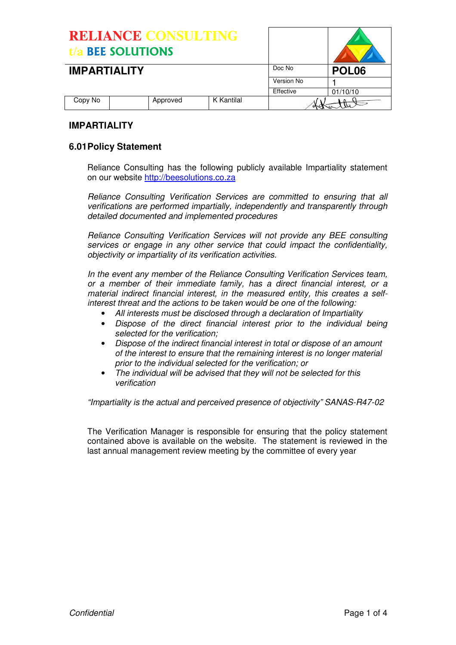| <b>RELIANCE CONSULTING</b><br>t/a BEE SOLUTIONS |          |            |            |                   |
|-------------------------------------------------|----------|------------|------------|-------------------|
| <b>IMPARTIALITY</b>                             |          |            | Doc No     | POL <sub>06</sub> |
|                                                 |          |            | Version No |                   |
|                                                 |          |            | Effective  | 01/10/10          |
| Copy No                                         | Approved | K Kantilal |            |                   |

## **IMPARTIAL ITY**

## **6.01 Policy Statement**

Reliance Consulting has the following publicly available Impartiality statement on our website http://beesolutions.co.za

Reliance Consulting Verification Services are committed to ensuring that all verifications are performed impartially, independently and transparently through detailed documented and implemented procedures

Reliance Consulting Verification Services will not provide any BEE consulting services or engage in any other service that could impact the confidentiality, objectivity or impartiality of its verification activities.

In the event any member of the Reliance Consulting Verification Services team, or a member of their immediate family, has a direct financial interest, or a material indirect financial interest, in the measured entity, this creates a selfinterest threat and the actions to be taken would be one of the following:

- All interests must be disclosed through a declaration of Impartiality
- Dispose of the direct financial interest prior to the individual being selected for the verification;
- Dispose of the indirect financial interest in total or dispose of an amount of the interest to ensure that the remaining interest is no longer material prior to the individual selected for the verification; or
- The individual will be advised that they will not be selected for this verification

"Impartiality is the actual and perceived presence of objectivity" SANAS-R47-02

The Verification Manager is responsible for ensuring that the policy statement contained above is available on the website. The statement is reviewed in the last annual management review meeting by the committee of every year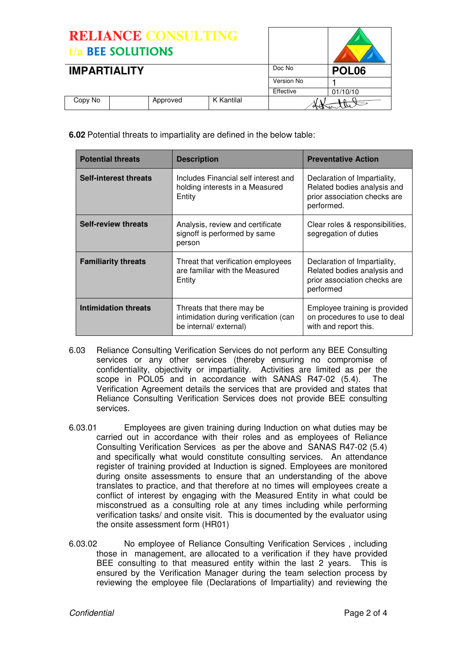RELIANCE CONSULTING t/a BEE SOLUTIONS **IMPARTIALITY** DOC NO **POL06** Version No 1<br>Effective 0  $01/10/10$ Copy No | Approved | K Kantilal

**6.02** Potential threats to impartiality are defined in the below table:

| <b>Potential threats</b>   | <b>Description</b>                                                                           | <b>Preventative Action</b>                                                                                |
|----------------------------|----------------------------------------------------------------------------------------------|-----------------------------------------------------------------------------------------------------------|
| Self-interest threats      | Includes Financial self interest and<br>holding interests in a Measured<br>Entity            | Declaration of Impartiality,<br>Related bodies analysis and<br>prior association checks are<br>performed. |
| <b>Self-review threats</b> | Analysis, review and certificate<br>signoff is performed by same<br>person                   | Clear roles & responsibilities,<br>segregation of duties                                                  |
| <b>Familiarity threats</b> | Threat that verification employees<br>are familiar with the Measured<br>Entity               | Declaration of Impartiality,<br>Related bodies analysis and<br>prior association checks are<br>performed  |
| Intimidation threats       | Threats that there may be<br>intimidation during verification (can<br>be internal/ external) | Employee training is provided<br>on procedures to use to deal<br>with and report this.                    |

- 6.03 Reliance Consulting Verification Services do not perform any BEE Consulting services or any other services (thereby ensuring no compromise of confidentiality, objectivity or impartiality. Activities are limited as per the scope in POL05 and in accordance with SANAS R47-02 (5.4). The Verification Agreement details the services that are provided and states that Reliance Consulting Verification Services does not provide BEE consulting services.
- 6.03.01 Employees are given training during Induction on what duties may be carried out in accordance with their roles and as employees of Reliance Consulting Verification Services as per the above and SANAS R47-02 (5.4) and specifically what would constitute consulting services. An attendance register of training provided at Induction is signed. Employees are monitored during onsite assessments to ensure that an understanding of the above translates to practice, and that therefore at no times will employees create a conflict of interest by engaging with the Measured Entity in what could be misconstrued as a consulting role at any times including while performing verification tasks/ and onsite visit. This is documented by the evaluator using the onsite assessment form (HR01)
- 6.03.02 No employee of Reliance Consulting Verification Services , including those in management, are allocated to a verification if they have provided BEE consulting to that measured entity within the last 2 years. This is ensured by the Verification Manager during the team selection process by reviewing the employee file (Declarations of Impartiality) and reviewing the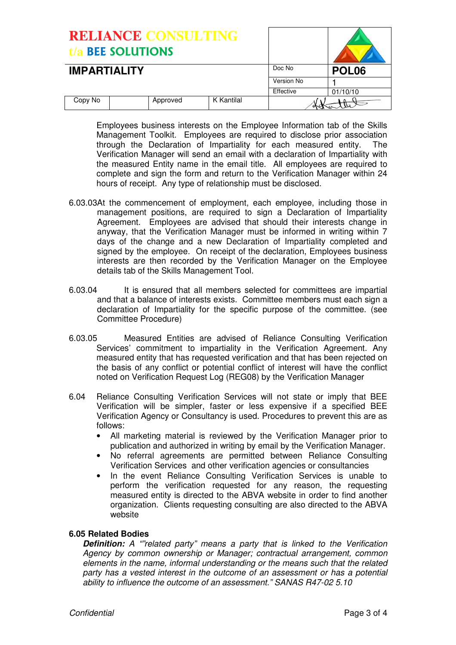| <b>RELIANCE CONSULTING</b><br><b>BEE SOLUTIONS</b><br>t/a |  |          |            |            |                   |
|-----------------------------------------------------------|--|----------|------------|------------|-------------------|
| <b>IMPARTIALITY</b>                                       |  |          |            | Doc No     | POL <sub>06</sub> |
|                                                           |  |          |            | Version No |                   |
|                                                           |  |          |            | Effective  | 01/10/10          |
| Copy No                                                   |  | Approved | K Kantilal |            |                   |

Employees business interests on the Employee Information tab of the Skills Management Toolkit. Employees are required to disclose prior association through the Declaration of Impartiality for each measured entity. The Verification Manager will send an email with a declaration of Impartiality with the measured Entity name in the email title. All employees are required to complete and sign the form and return to the Verification Manager within 24 hours of receipt. Any type of relationship must be disclosed.

- 6.03.03At the commencement of employment, each employee, including those in management positions, are required to sign a Declaration of Impartiality Agreement. Employees are advised that should their interests change in anyway, that the Verification Manager must be informed in writing within 7 days of the change and a new Declaration of Impartiality completed and signed by the employee. On receipt of the declaration, Employees business interests are then recorded by the Verification Manager on the Employee details tab of the Skills Management Tool.
- 6.03.04 It is ensured that all members selected for committees are impartial and that a balance of interests exists. Committee members must each sign a declaration of Impartiality for the specific purpose of the committee. (see Committee Procedure)
- 6.03.05 Measured Entities are advised of Reliance Consulting Verification Services' commitment to impartiality in the Verification Agreement. Any measured entity that has requested verification and that has been rejected on the basis of any conflict or potential conflict of interest will have the conflict noted on Verification Request Log (REG08) by the Verification Manager
- 6.04 Reliance Consulting Verification Services will not state or imply that BEE Verification will be simpler, faster or less expensive if a specified BEE Verification Agency or Consultancy is used. Procedures to prevent this are as follows:
	- All marketing material is reviewed by the Verification Manager prior to publication and authorized in writing by email by the Verification Manager.
	- No referral agreements are permitted between Reliance Consulting Verification Services and other verification agencies or consultancies
	- In the event Reliance Consulting Verification Services is unable to perform the verification requested for any reason, the requesting measured entity is directed to the ABVA website in order to find another organization. Clients requesting consulting are also directed to the ABVA website

## **6.05 Related Bodies**

**Definition:** A "related party" means a party that is linked to the Verification Agency by common ownership or Manager; contractual arrangement, common elements in the name, informal understanding or the means such that the related party has a vested interest in the outcome of an assessment or has a potential ability to influence the outcome of an assessment." SANAS R47-02 5.10